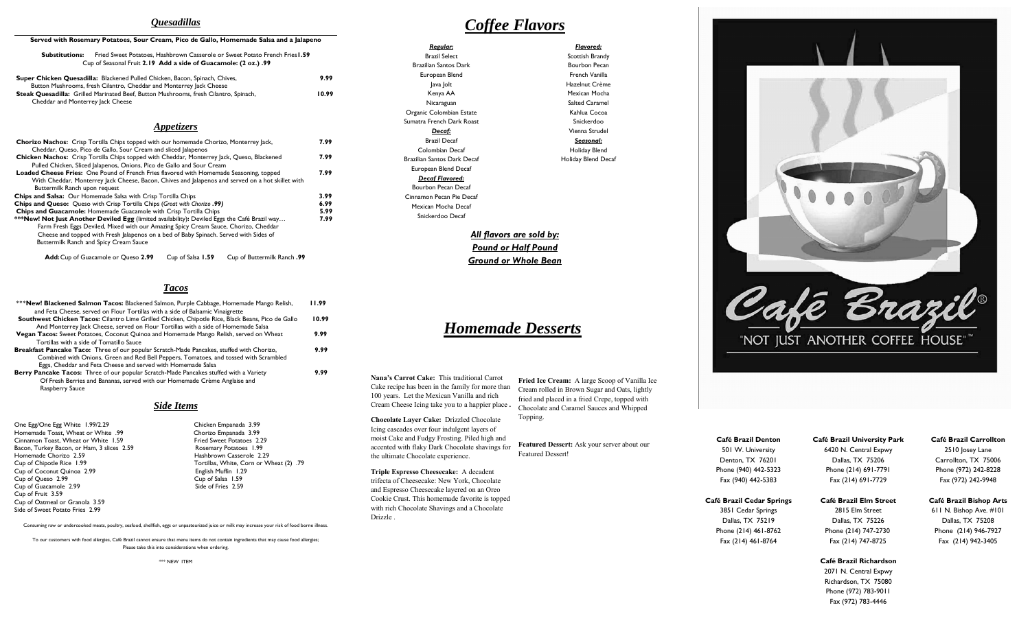# *Quesadillas*

### **Served with Rosemary Potatoes, Sour Cream, Pico de Gallo, Homemade Salsa and a Jalapeno**

| Substitutions: | <b>Fried Sweet Potatoes. Hashbrown Casserole or Sweet Potato French Fries 1.59</b> |  |
|----------------|------------------------------------------------------------------------------------|--|
|                | Cup of Seasonal Fruit 2.19 Add a side of Guacamole: (2 oz.) .99                    |  |

| Super Chicken Quesadilla: Blackened Pulled Chicken, Bacon, Spinach, Chives,                 | 9.99  |
|---------------------------------------------------------------------------------------------|-------|
| Button Mushrooms, fresh Cilantro, Cheddar and Monterrey Jack Cheese                         |       |
| <b>Steak Quesadilla:</b> Grilled Marinated Beef, Button Mushrooms, fresh Cilantro, Spinach, | 10.99 |
| Cheddar and Monterrey lack Cheese                                                           |       |

## *Appetizers*

| <b>Chorizo Nachos:</b> Crisp Tortilla Chips topped with our homemade Chorizo, Monterrey lack,<br>Cheddar, Queso, Pico de Gallo, Sour Cream and sliced Jalapenos |      |
|-----------------------------------------------------------------------------------------------------------------------------------------------------------------|------|
| Chicken Nachos: Crisp Tortilla Chips topped with Cheddar, Monterrey Jack, Queso, Blackened                                                                      | 7.99 |
| Pulled Chicken, Sliced Jalapenos, Onions, Pico de Gallo and Sour Cream                                                                                          |      |
| <b>Loaded Cheese Fries:</b> One Pound of French Fries flavored with Homemade Seasoning, topped                                                                  | 7.99 |
| With Cheddar, Monterrey lack Cheese, Bacon, Chives and lalapenos and served on a hot skillet with                                                               |      |
| Buttermilk Ranch upon request                                                                                                                                   |      |
| <b>Chips and Salsa:</b> Our Homemade Salsa with Crisp Tortilla Chips                                                                                            | 3.99 |
| Chips and Queso: Queso with Crisp Tortilla Chips (Great with Chorizo.99)                                                                                        | 6.99 |
| Chips and Guacamole: Homemade Guacamole with Crisp Tortilla Chips                                                                                               | 5.99 |
| ***New! Not Just Another Deviled Egg (limited availability): Deviled Eggs the Café Brazil way                                                                   | 7.99 |
| Farm Fresh Eggs Deviled, Mixed with our Amazing Spicy Cream Sauce, Chorizo, Cheddar                                                                             |      |
| Cheese and topped with Fresh Jalapenos on a bed of Baby Spinach. Served with Sides of                                                                           |      |
| <b>Buttermilk Ranch and Spicy Cream Sauce</b>                                                                                                                   |      |
|                                                                                                                                                                 |      |

**Add:** Cup of Guacamole or Queso **2.99** Cup of Salsa **1.59** Cup of Buttermilk Ranch **.99** 

### *Tacos*

| *** New! Blackened Salmon Tacos: Blackened Salmon, Purple Cabbage, Homemade Mango Relish,         | 11.99 |
|---------------------------------------------------------------------------------------------------|-------|
| and Feta Cheese, served on Flour Tortillas with a side of Balsamic Vinaigrette                    |       |
| Southwest Chicken Tacos: Cilantro Lime Grilled Chicken, Chipotle Rice, Black Beans, Pico de Gallo | 10.99 |
| And Monterrey Jack Cheese, served on Flour Tortillas with a side of Homemade Salsa                |       |
| Vegan Tacos: Sweet Potatoes, Coconut Quinoa and Homemade Mango Relish, served on Wheat            | 9.99  |
| Tortillas with a side of Tomatillo Sauce                                                          |       |
| Breakfast Pancake Taco: Three of our popular Scratch-Made Pancakes, stuffed with Chorizo,         | 9.99  |
| Combined with Onions, Green and Red Bell Peppers, Tomatoes, and tossed with Scrambled             |       |
| Eggs, Cheddar and Feta Cheese and served with Homemade Salsa                                      |       |
| Berry Pancake Tacos: Three of our popular Scratch-Made Pancakes stuffed with a Variety            | 9.99  |
| Of Fresh Berries and Bananas, served with our Homemade Crème Anglaise and                         |       |
| Raspberry Sauce                                                                                   |       |

### *Side Items*

One Egg/One Egg White 1.99/2.29<br>
Homemade Toast, Wheat or White .99 Chorizo Empanada 3.99 Homemade Toast, Wheat or White .99 Chorizo Empanada 3.99<br>
Cinnamon Toast, Wheat or White 1.59 Fried Sweet Potatoes 2.29 Cinnamon Toast, Wheat or White 1.59 Fried Sweet Potatoes 2.29<br>Bacon. Turkey Bacon. or Ham. 3 slices 2.59 Fried Sweet Potatoes 1.99 Bacon, Turkey Bacon, or Ham, 3 slices 2.59<br>Homemade Chorizo 2.59 Cup of Coconut Quinoa 2.99 English Muffin 1.29 Cup of Queso 2.99 Cup of Salsa 1.59<br>Cup of Guacamole 2.99 Cup of Salsa 1.59 Cup of Salsa 1.59 Cup of Guacamole 2.99 Cup of Fruit 3.59 Cup of Oatmeal or Granola 3.59 Side of Sweet Potato Fries 2.99

Hashbrown Casserole 2.29 Cup of Chipotle Rice 1.99 Tortillas, White, Corn or Wheat (2) .79

Consuming raw or undercooked meats, poultry, seafood, shellfish, eggs or unpasteurized juice or milk may increase your risk of food borne illness.

To our customers with food allergies, Café Brazil cannot ensure that menu items do not contain ingredients that may cause food allergies; Please take this into considerations when ordering.

\*\*\* NEW ITEM

| <u> Regular:</u>            | Flavored:             |
|-----------------------------|-----------------------|
| <b>Brazil Select</b>        | Scottish Brandy       |
| Brazilian Santos Dark       | Bourbon Pecan         |
| European Blend              | French Vanilla        |
| ava Jolt                    | Hazelnut Crème        |
| Kenya AA                    | Mexican Mocha         |
| Nicaraguan                  | <b>Salted Caramel</b> |
| Organic Colombian Estate    | Kahlua Cocoa          |
| Sumatra French Dark Roast   | Snickerdoo            |
| <u>Decaf:</u>               | Vienna Strudel        |
| <b>Brazil Decaf</b>         | Seasonal:             |
| Colombian Decaf             | Holiday Blend         |
| Brazilian Santos Dark Decaf | Holiday Blend Decaf   |
| European Blend Decaf        |                       |
| Decaf Flavored:             |                       |
| <b>Bourbon Pecan Decaf</b>  |                       |
| Cinnamon Pecan Pie Decaf    |                       |
| Mexican Mocha Decaf         |                       |
| Snickerdoo Decaf            |                       |
|                             |                       |

# *All flavors are sold by: Pound or Half Pound Ground or Whole Bean*

# *Homemade Desserts*

**Nana's Carrot Cake:** This traditional Carrot Cake recipe has been in the family for more than 100 years. Let the Mexican Vanilla and rich Cream Cheese Icing take you to a happier place **.** 

**Chocolate Layer Cake:** Drizzled Chocolate Icing cascades over four indulgent layers of moist Cake and Fudgy Frosting. Piled high and accented with flaky Dark Chocolate shavings for the ultimate Chocolate experience.

**Triple Espresso Cheesecake:** A decadent trifecta of Cheesecake: New York, Chocolate and Espresso Cheesecake layered on an Oreo Cookie Crust. This homemade favorite is topped with rich Chocolate Shavings and a Chocolate Drizzle .

**Fried Ice Cream:** A large Scoop of Vanilla Ice Cream rolled in Brown Sugar and Oats, lightly fried and placed in a fried Crepe, topped with Chocolate and Caramel Sauces and Whipped Topping.

**Featured Dessert:** Ask your server about our Featured Dessert!

**Café Brazil Denton** 501 W. University Denton, TX 76201 Phone (940) 442-5323 Fax (940) 442-5383

**Café Brazil Cedar Springs** 

3851 Cedar Springs Dallas, TX 75219 Phone (214) 461-8762 Fax (214) 461-8764

**Café Brazil University Park**  6420 N. Central Expwy

"NOT JUST ANOTHER COFFEE HOUSE""

Dallas, TX 75206 Phone (214) 691-7791

**Café Brazil Elm Street** 2815 Elm Street

Fax (214) 691-7729

**Café Brazil Bishop Arts**  611 N. Bishop Ave. #101 Dallas, TX 75208 Phone (214) 946-7927 Fax (214) 942-3405

**Café Brazil Carrollton** 2510 Josey Lane Carrollton, TX 75006 Phone (972) 242-8228 Fax (972) 242-9948

### **Café Brazil Richardson**

Dallas, TX 75226 Phone (214) 747-2730 Fax (214) 747-8725

2071 N. Central Expwy Richardson, TX 75080 Phone (972) 783-9011 Fax (972) 783-4446

# *Coffee Flavors*